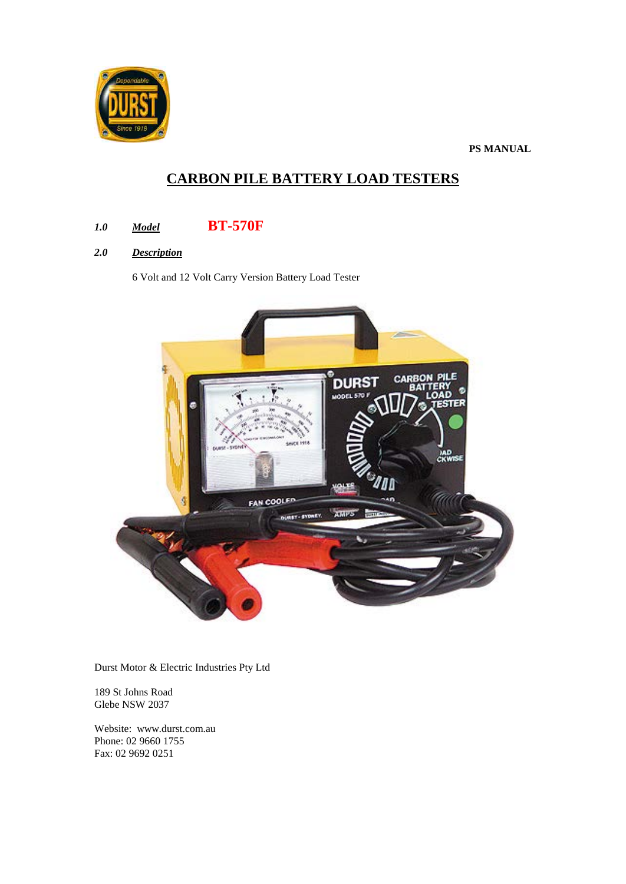

**PS MANUAL**

# **CARBON PILE BATTERY LOAD TESTERS**

# *1.0 Model* **BT-570F**

*2.0 Description*

6 Volt and 12 Volt Carry Version Battery Load Tester



Durst Motor & Electric Industries Pty Ltd

189 St Johns Road Glebe NSW 2037

Website: www.durst.com.au Phone: 02 9660 1755 Fax: 02 9692 0251